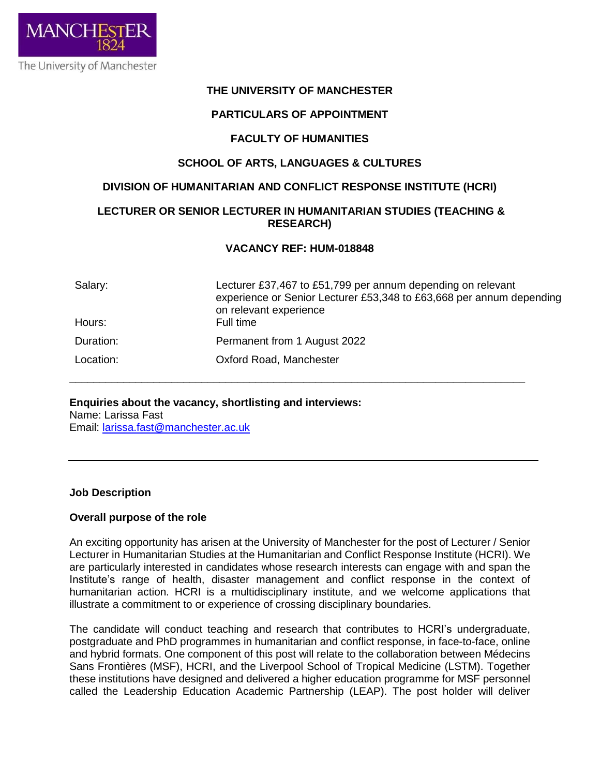

### **THE UNIVERSITY OF MANCHESTER**

### **PARTICULARS OF APPOINTMENT**

#### **FACULTY OF HUMANITIES**

### **SCHOOL OF ARTS, LANGUAGES & CULTURES**

#### **DIVISION OF HUMANITARIAN AND CONFLICT RESPONSE INSTITUTE (HCRI)**

## **LECTURER OR SENIOR LECTURER IN HUMANITARIAN STUDIES (TEACHING & RESEARCH)**

#### **VACANCY REF: HUM-018848**

**\_\_\_\_\_\_\_\_\_\_\_\_\_\_\_\_\_\_\_\_\_\_\_\_\_\_\_\_\_\_\_\_\_\_\_\_\_\_\_\_\_\_\_\_\_\_\_\_\_\_\_\_\_\_\_\_\_\_\_\_\_\_\_\_\_\_\_\_\_\_\_\_\_\_\_\_**

| Salary:   | Lecturer £37,467 to £51,799 per annum depending on relevant<br>experience or Senior Lecturer £53,348 to £63,668 per annum depending<br>on relevant experience |
|-----------|---------------------------------------------------------------------------------------------------------------------------------------------------------------|
| Hours:    | Full time                                                                                                                                                     |
| Duration: | Permanent from 1 August 2022                                                                                                                                  |
| Location: | Oxford Road, Manchester                                                                                                                                       |

# **Enquiries about the vacancy, shortlisting and interviews:**

Name: Larissa Fast Email: [larissa.fast@manchester.ac.uk](http://#)

#### **Job Description**

#### **Overall purpose of the role**

An exciting opportunity has arisen at the University of Manchester for the post of Lecturer / Senior Lecturer in Humanitarian Studies at the Humanitarian and Conflict Response Institute (HCRI). We are particularly interested in candidates whose research interests can engage with and span the Institute's range of health, disaster management and conflict response in the context of humanitarian action. HCRI is a multidisciplinary institute, and we welcome applications that illustrate a commitment to or experience of crossing disciplinary boundaries.

The candidate will conduct teaching and research that contributes to HCRI's undergraduate, postgraduate and PhD programmes in humanitarian and conflict response, in face-to-face, online and hybrid formats. One component of this post will relate to the collaboration between Médecins Sans Frontières (MSF), HCRI, and the Liverpool School of Tropical Medicine (LSTM). Together these institutions have designed and delivered a higher education programme for MSF personnel called the Leadership Education Academic Partnership (LEAP). The post holder will deliver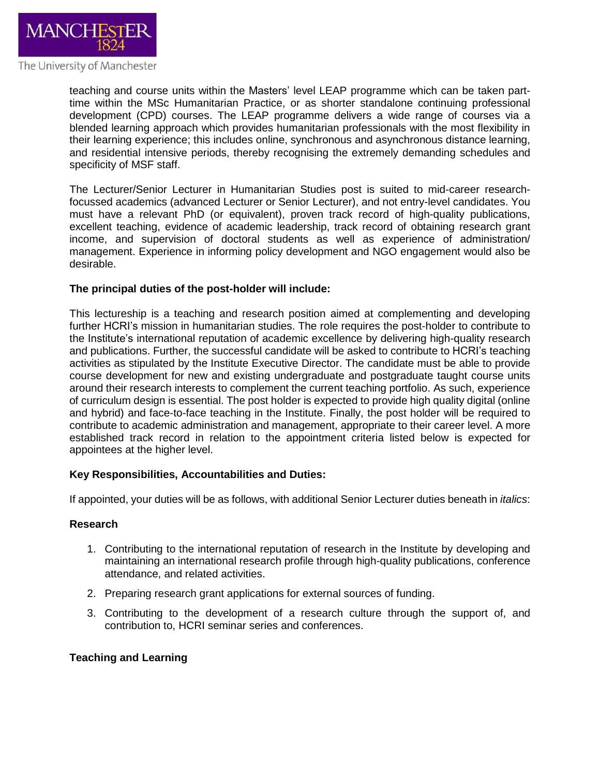

teaching and course units within the Masters' level LEAP programme which can be taken parttime within the MSc Humanitarian Practice, or as shorter standalone continuing professional development (CPD) courses. The LEAP programme delivers a wide range of courses via a blended learning approach which provides humanitarian professionals with the most flexibility in their learning experience; this includes online, synchronous and asynchronous distance learning, and residential intensive periods, thereby recognising the extremely demanding schedules and specificity of MSF staff.

The Lecturer/Senior Lecturer in Humanitarian Studies post is suited to mid-career researchfocussed academics (advanced Lecturer or Senior Lecturer), and not entry-level candidates. You must have a relevant PhD (or equivalent), proven track record of high-quality publications, excellent teaching, evidence of academic leadership, track record of obtaining research grant income, and supervision of doctoral students as well as experience of administration/ management. Experience in informing policy development and NGO engagement would also be desirable.

#### **The principal duties of the post-holder will include:**

This lectureship is a teaching and research position aimed at complementing and developing further HCRI's mission in humanitarian studies. The role requires the post-holder to contribute to the Institute's international reputation of academic excellence by delivering high-quality research and publications. Further, the successful candidate will be asked to contribute to HCRI's teaching activities as stipulated by the Institute Executive Director. The candidate must be able to provide course development for new and existing undergraduate and postgraduate taught course units around their research interests to complement the current teaching portfolio. As such, experience of curriculum design is essential. The post holder is expected to provide high quality digital (online and hybrid) and face-to-face teaching in the Institute. Finally, the post holder will be required to contribute to academic administration and management, appropriate to their career level. A more established track record in relation to the appointment criteria listed below is expected for appointees at the higher level.

#### **Key Responsibilities, Accountabilities and Duties:**

If appointed, your duties will be as follows, with additional Senior Lecturer duties beneath in *italics*:

#### **Research**

- 1. Contributing to the international reputation of research in the Institute by developing and maintaining an international research profile through high-quality publications, conference attendance, and related activities.
- 2. Preparing research grant applications for external sources of funding.
- 3. Contributing to the development of a research culture through the support of, and contribution to, HCRI seminar series and conferences.

#### **Teaching and Learning**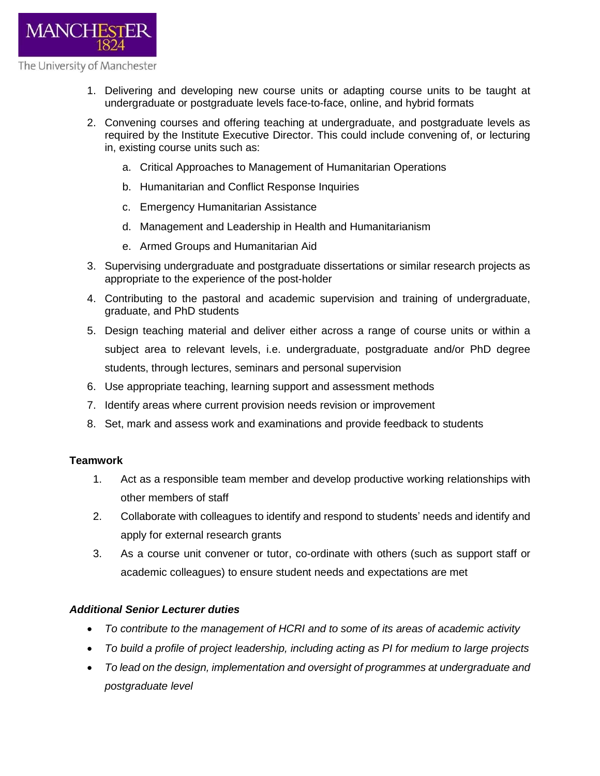

- 1. Delivering and developing new course units or adapting course units to be taught at undergraduate or postgraduate levels face-to-face, online, and hybrid formats
- 2. Convening courses and offering teaching at undergraduate, and postgraduate levels as required by the Institute Executive Director. This could include convening of, or lecturing in, existing course units such as:
	- a. Critical Approaches to Management of Humanitarian Operations
	- b. Humanitarian and Conflict Response Inquiries
	- c. Emergency Humanitarian Assistance
	- d. Management and Leadership in Health and Humanitarianism
	- e. Armed Groups and Humanitarian Aid
- 3. Supervising undergraduate and postgraduate dissertations or similar research projects as appropriate to the experience of the post-holder
- 4. Contributing to the pastoral and academic supervision and training of undergraduate, graduate, and PhD students
- 5. Design teaching material and deliver either across a range of course units or within a subject area to relevant levels, i.e. undergraduate, postgraduate and/or PhD degree students, through lectures, seminars and personal supervision
- 6. Use appropriate teaching, learning support and assessment methods
- 7. Identify areas where current provision needs revision or improvement
- 8. Set, mark and assess work and examinations and provide feedback to students

### **Teamwork**

- 1. Act as a responsible team member and develop productive working relationships with other members of staff
- 2. Collaborate with colleagues to identify and respond to students' needs and identify and apply for external research grants
- 3. As a course unit convener or tutor, co-ordinate with others (such as support staff or academic colleagues) to ensure student needs and expectations are met

### *Additional Senior Lecturer duties*

- *To contribute to the management of HCRI and to some of its areas of academic activity*
- *To build a profile of project leadership, including acting as PI for medium to large projects*
- *To lead on the design, implementation and oversight of programmes at undergraduate and postgraduate level*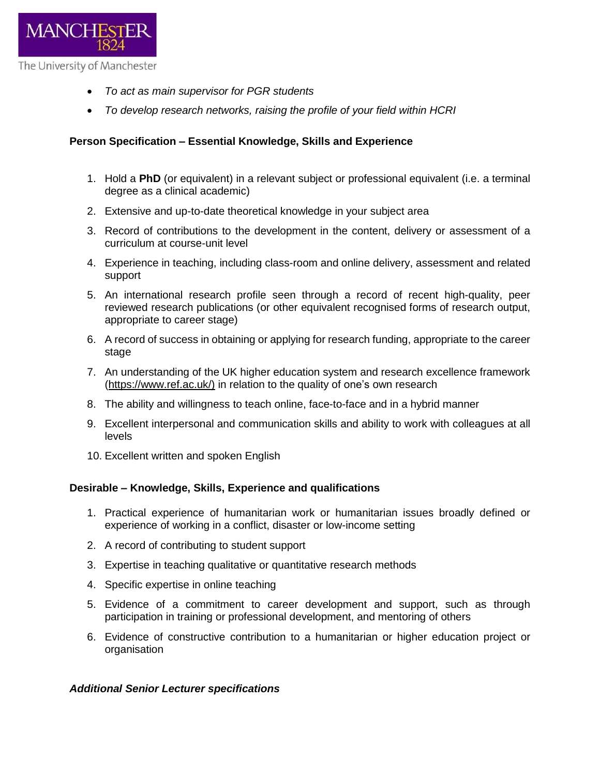

- *To act as main supervisor for PGR students*
- *To develop research networks, raising the profile of your field within HCRI*

# **Person Specification – Essential Knowledge, Skills and Experience**

- 1. Hold a **PhD** (or equivalent) in a relevant subject or professional equivalent (i.e. a terminal degree as a clinical academic)
- 2. Extensive and up-to-date theoretical knowledge in your subject area
- 3. Record of contributions to the development in the content, delivery or assessment of a curriculum at course-unit level
- 4. Experience in teaching, including class-room and online delivery, assessment and related support
- 5. An international research profile seen through a record of recent high-quality, peer reviewed research publications (or other equivalent recognised forms of research output, appropriate to career stage)
- 6. A record of success in obtaining or applying for research funding, appropriate to the career stage
- 7. An understanding of the UK higher education system and research excellence framework (https://www.ref.ac.uk/) in relation to the quality of one's own research
- 8. The ability and willingness to teach online, face-to-face and in a hybrid manner
- 9. Excellent interpersonal and communication skills and ability to work with colleagues at all levels
- 10. Excellent written and spoken English

# **Desirable – Knowledge, Skills, Experience and qualifications**

- 1. Practical experience of humanitarian work or humanitarian issues broadly defined or experience of working in a conflict, disaster or low-income setting
- 2. A record of contributing to student support
- 3. Expertise in teaching qualitative or quantitative research methods
- 4. Specific expertise in online teaching
- 5. Evidence of a commitment to career development and support, such as through participation in training or professional development, and mentoring of others
- 6. Evidence of constructive contribution to a humanitarian or higher education project or organisation

### *Additional Senior Lecturer specifications*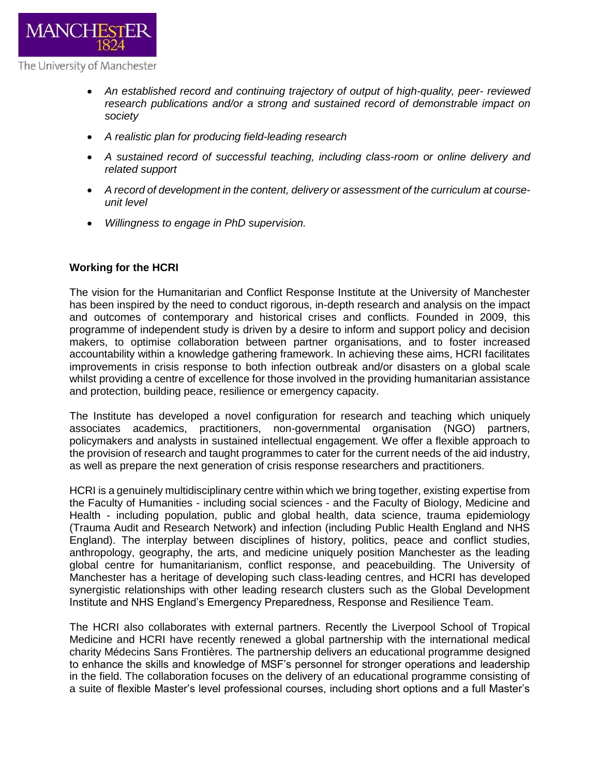

- *An established record and continuing trajectory of output of high-quality, peer- reviewed research publications and/or a strong and sustained record of demonstrable impact on society*
- *A realistic plan for producing field-leading research*
- *A sustained record of successful teaching, including class-room or online delivery and related support*
- *A record of development in the content, delivery or assessment of the curriculum at courseunit level*
- *Willingness to engage in PhD supervision.*

### **Working for the HCRI**

The vision for the Humanitarian and Conflict Response Institute at the University of Manchester has been inspired by the need to conduct rigorous, in-depth research and analysis on the impact and outcomes of contemporary and historical crises and conflicts. Founded in 2009, this programme of independent study is driven by a desire to inform and support policy and decision makers, to optimise collaboration between partner organisations, and to foster increased accountability within a knowledge gathering framework. In achieving these aims, HCRI facilitates improvements in crisis response to both infection outbreak and/or disasters on a global scale whilst providing a centre of excellence for those involved in the providing humanitarian assistance and protection, building peace, resilience or emergency capacity.

The Institute has developed a novel configuration for research and teaching which uniquely associates academics, practitioners, non-governmental organisation (NGO) partners, policymakers and analysts in sustained intellectual engagement. We offer a flexible approach to the provision of research and taught programmes to cater for the current needs of the aid industry, as well as prepare the next generation of crisis response researchers and practitioners.

HCRI is a genuinely multidisciplinary centre within which we bring together, existing expertise from the Faculty of Humanities - including social sciences - and the Faculty of Biology, Medicine and Health - including population, public and global health, data science, trauma epidemiology (Trauma Audit and Research Network) and infection (including Public Health England and NHS England). The interplay between disciplines of history, politics, peace and conflict studies, anthropology, geography, the arts, and medicine uniquely position Manchester as the leading global centre for humanitarianism, conflict response, and peacebuilding. The University of Manchester has a heritage of developing such class-leading centres, and HCRI has developed synergistic relationships with other leading research clusters such as the Global Development Institute and NHS England's Emergency Preparedness, Response and Resilience Team.

The HCRI also collaborates with external partners. Recently the Liverpool School of Tropical Medicine and HCRI have recently renewed a global partnership with the international medical charity Médecins Sans Frontières. The partnership delivers an educational programme designed to enhance the skills and knowledge of MSF's personnel for stronger operations and leadership in the field. The collaboration focuses on the delivery of an educational programme consisting of a suite of flexible Master's level professional courses, including short options and a full Master's